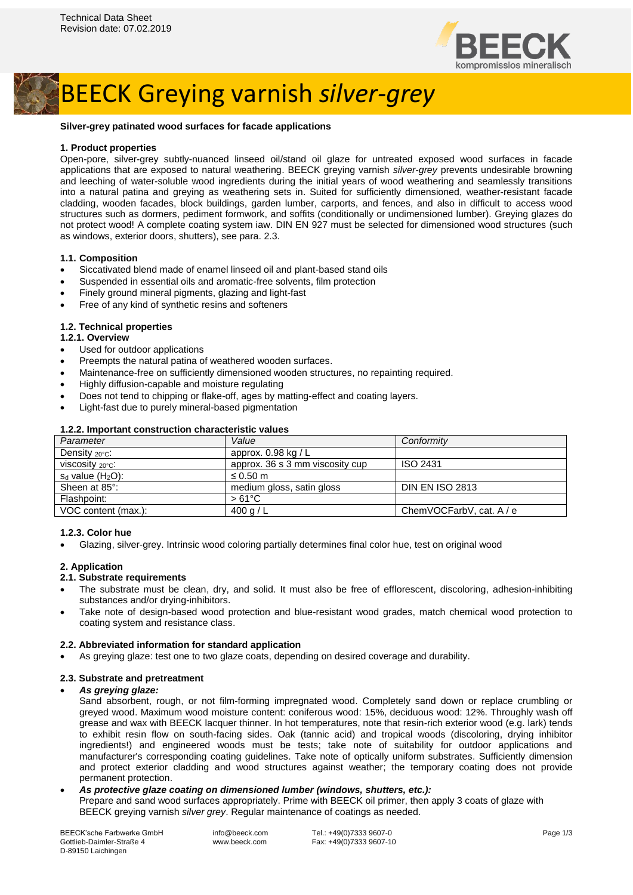

## BEECK Greying varnish *silver-grey*

#### **Silver-grey patinated wood surfaces for facade applications**

## **1. Product properties**

Open-pore, silver-grey subtly-nuanced linseed oil/stand oil glaze for untreated exposed wood surfaces in facade applications that are exposed to natural weathering. BEECK greying varnish *silver-grey* prevents undesirable browning and leeching of water-soluble wood ingredients during the initial years of wood weathering and seamlessly transitions into a natural patina and greying as weathering sets in. Suited for sufficiently dimensioned, weather-resistant facade cladding, wooden facades, block buildings, garden lumber, carports, and fences, and also in difficult to access wood structures such as dormers, pediment formwork, and soffits (conditionally or undimensioned lumber). Greying glazes do not protect wood! A complete coating system iaw. DIN EN 927 must be selected for dimensioned wood structures (such as windows, exterior doors, shutters), see para. 2.3.

#### **1.1. Composition**

- Siccativated blend made of enamel linseed oil and plant-based stand oils
- Suspended in essential oils and aromatic-free solvents, film protection
- Finely ground mineral pigments, glazing and light-fast
- Free of any kind of synthetic resins and softeners

#### **1.2. Technical properties**

#### **1.2.1. Overview**

- Used for outdoor applications
- Preempts the natural patina of weathered wooden surfaces.
- Maintenance-free on sufficiently dimensioned wooden structures, no repainting required.
- Highly diffusion-capable and moisture regulating
- Does not tend to chipping or flake-off, ages by matting-effect and coating layers.
- Light-fast due to purely mineral-based pigmentation

| 1.2.2. MNORUM CONSUMUNION UNIQUOISID VAIDUS |                                 |                          |
|---------------------------------------------|---------------------------------|--------------------------|
| Parameter                                   | Value                           | Conformity               |
| Density <sub>20°C</sub> :                   | approx. $0.98$ kg / L           |                          |
| viscosity $20^{\circ}$ c:                   | approx. 36 s 3 mm viscosity cup | ISO 2431                 |
| $s_d$ value $(H_2O)$ :                      | $\leq 0.50$ m                   |                          |
| Sheen at 85°:                               | medium gloss, satin gloss       | <b>DIN EN ISO 2813</b>   |
| Flashpoint:                                 | $>61^{\circ}$ C                 |                          |
| VOC content (max.):                         | 400 g / L                       | ChemVOCFarbV, cat. A / e |

## **1.2.2. Important construction characteristic values**

## **1.2.3. Color hue**

• Glazing, silver-grey. Intrinsic wood coloring partially determines final color hue, test on original wood

#### **2. Application**

#### **2.1. Substrate requirements**

- The substrate must be clean, dry, and solid. It must also be free of efflorescent, discoloring, adhesion-inhibiting substances and/or drying-inhibitors.
- Take note of design-based wood protection and blue-resistant wood grades, match chemical wood protection to coating system and resistance class.

## **2.2. Abbreviated information for standard application**

• As greying glaze: test one to two glaze coats, depending on desired coverage and durability.

## **2.3. Substrate and pretreatment**

#### • *As greying glaze:*

Sand absorbent, rough, or not film-forming impregnated wood. Completely sand down or replace crumbling or greyed wood. Maximum wood moisture content: coniferous wood: 15%, deciduous wood: 12%. Throughly wash off grease and wax with BEECK lacquer thinner. In hot temperatures, note that resin-rich exterior wood (e.g. lark) tends to exhibit resin flow on south-facing sides. Oak (tannic acid) and tropical woods (discoloring, drying inhibitor ingredients!) and engineered woods must be tests; take note of suitability for outdoor applications and manufacturer's corresponding coating guidelines. Take note of optically uniform substrates. Sufficiently dimension and protect exterior cladding and wood structures against weather; the temporary coating does not provide permanent protection.

#### • *As protective glaze coating on dimensioned lumber (windows, shutters, etc.):*

Prepare and sand wood surfaces appropriately. Prime with BEECK oil primer, then apply 3 coats of glaze with BEECK greying varnish *silver grey*. Regular maintenance of coatings as needed.

| <b>BEECK'sche Farbwerke GmbH</b> |
|----------------------------------|
| Gottlieb-Daimler-Straße 4        |
| D-89150 Laichingen               |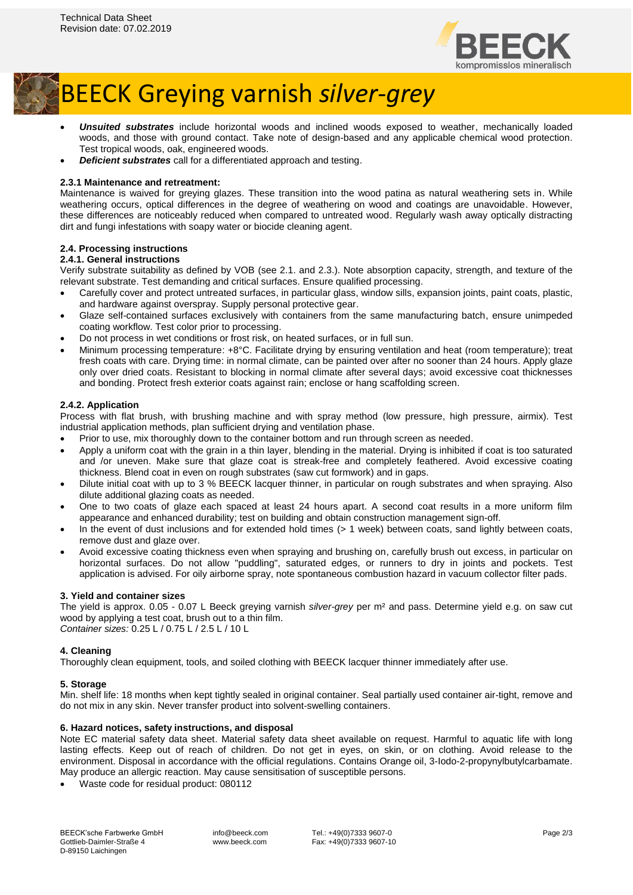

# BEECK Greying varnish *silver-grey*

- *Unsuited substrates* include horizontal woods and inclined woods exposed to weather, mechanically loaded woods, and those with ground contact. Take note of design-based and any applicable chemical wood protection. Test tropical woods, oak, engineered woods.
- *Deficient substrates* call for a differentiated approach and testing.

## **2.3.1 Maintenance and retreatment:**

Maintenance is waived for greying glazes. These transition into the wood patina as natural weathering sets in. While weathering occurs, optical differences in the degree of weathering on wood and coatings are unavoidable. However, these differences are noticeably reduced when compared to untreated wood. Regularly wash away optically distracting dirt and fungi infestations with soapy water or biocide cleaning agent.

## **2.4. Processing instructions**

## **2.4.1. General instructions**

Verify substrate suitability as defined by VOB (see 2.1. and 2.3.). Note absorption capacity, strength, and texture of the relevant substrate. Test demanding and critical surfaces. Ensure qualified processing.

- Carefully cover and protect untreated surfaces, in particular glass, window sills, expansion joints, paint coats, plastic, and hardware against overspray. Supply personal protective gear.
- Glaze self-contained surfaces exclusively with containers from the same manufacturing batch, ensure unimpeded coating workflow. Test color prior to processing.
- Do not process in wet conditions or frost risk, on heated surfaces, or in full sun.
- Minimum processing temperature: +8°C. Facilitate drying by ensuring ventilation and heat (room temperature); treat fresh coats with care. Drying time: in normal climate, can be painted over after no sooner than 24 hours. Apply glaze only over dried coats. Resistant to blocking in normal climate after several days; avoid excessive coat thicknesses and bonding. Protect fresh exterior coats against rain; enclose or hang scaffolding screen.

## **2.4.2. Application**

Process with flat brush, with brushing machine and with spray method (low pressure, high pressure, airmix). Test industrial application methods, plan sufficient drying and ventilation phase.

- Prior to use, mix thoroughly down to the container bottom and run through screen as needed.
- Apply a uniform coat with the grain in a thin layer, blending in the material. Drying is inhibited if coat is too saturated and /or uneven. Make sure that glaze coat is streak-free and completely feathered. Avoid excessive coating thickness. Blend coat in even on rough substrates (saw cut formwork) and in gaps.
- Dilute initial coat with up to 3 % BEECK lacquer thinner, in particular on rough substrates and when spraying. Also dilute additional glazing coats as needed.
- One to two coats of glaze each spaced at least 24 hours apart. A second coat results in a more uniform film appearance and enhanced durability; test on building and obtain construction management sign-off.
- In the event of dust inclusions and for extended hold times (> 1 week) between coats, sand lightly between coats, remove dust and glaze over.
- Avoid excessive coating thickness even when spraying and brushing on, carefully brush out excess, in particular on horizontal surfaces. Do not allow "puddling", saturated edges, or runners to dry in joints and pockets. Test application is advised. For oily airborne spray, note spontaneous combustion hazard in vacuum collector filter pads.

## **3. Yield and container sizes**

The yield is approx. 0.05 - 0.07 L Beeck greying varnish *silver-grey* per m² and pass. Determine yield e.g. on saw cut wood by applying a test coat, brush out to a thin film. *Container sizes:* 0.25 L / 0.75 L / 2.5 L / 10 L

## **4. Cleaning**

Thoroughly clean equipment, tools, and soiled clothing with BEECK lacquer thinner immediately after use.

## **5. Storage**

Min. shelf life: 18 months when kept tightly sealed in original container. Seal partially used container air-tight, remove and do not mix in any skin. Never transfer product into solvent-swelling containers.

## **6. Hazard notices, safety instructions, and disposal**

Note EC material safety data sheet. Material safety data sheet available on request. Harmful to aquatic life with long lasting effects. Keep out of reach of children. Do not get in eyes, on skin, or on clothing. Avoid release to the environment. Disposal in accordance with the official regulations. Contains Orange oil, 3-Iodo-2-propynylbutylcarbamate. May produce an allergic reaction. May cause sensitisation of susceptible persons.

• Waste code for residual product: 080112

info@beeck.com www.beeck.com